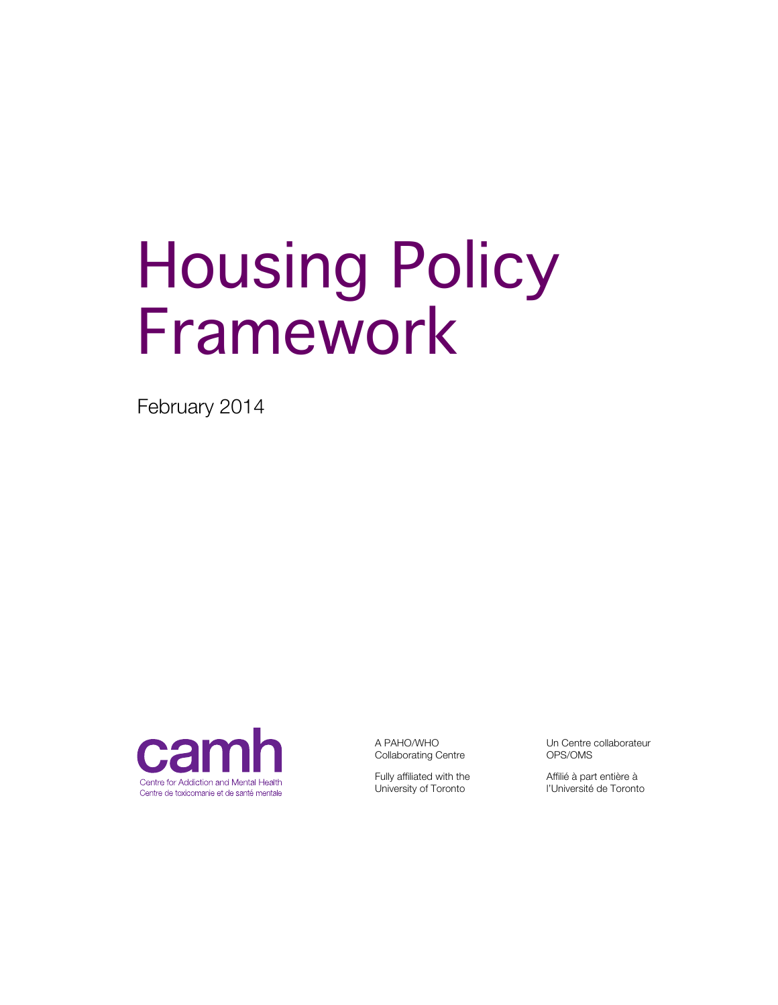# Housing Policy Framework

February 2014



A PAHO/WHO Collaborating Centre

Fully affiliated with the University of Toronto

Un Centre collaborateur OPS/OMS

Affilié à part entière à l'Université de Toronto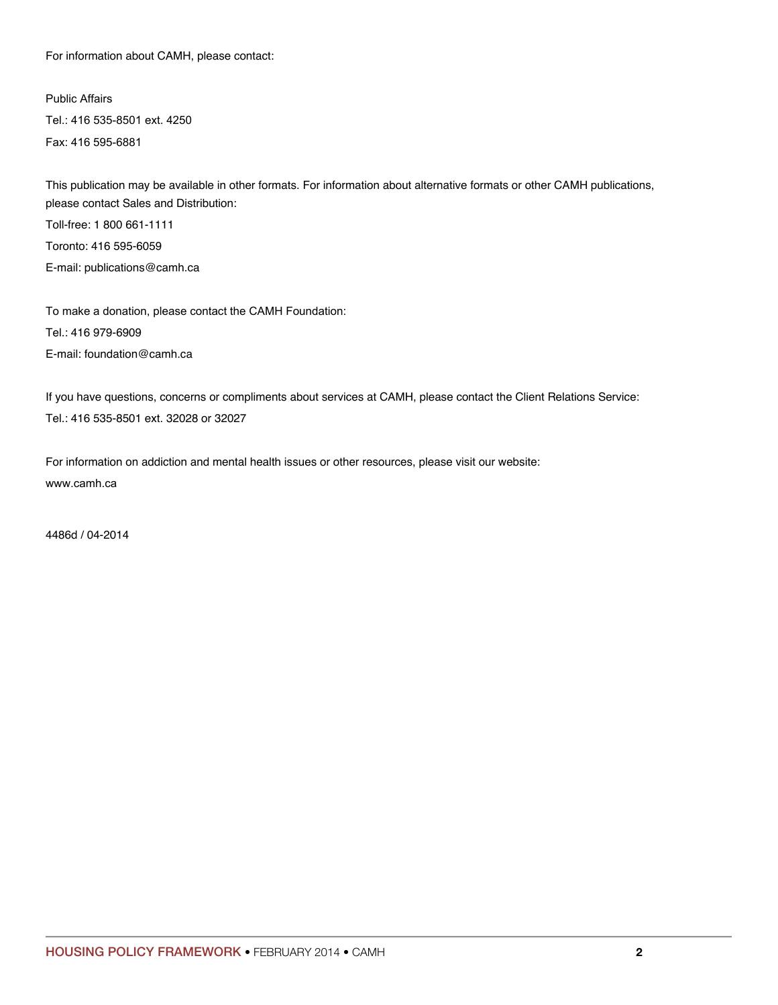For information about CAMH, please contact:

Public Affairs Tel.: 416 535-8501 ext. 4250 Fax: 416 595-6881

This publication may be available in other formats. For information about alternative formats or other CAMH publications, please contact Sales and Distribution: Toll-free: 1 800 661-1111 Toronto: 416 595-6059 E-mail: publications@camh.ca

To make a donation, please contact the CAMH Foundation: Tel.: 416 979-6909 E-mail: foundation@camh.ca

If you have questions, concerns or compliments about services at CAMH, please contact the Client Relations Service: Tel.: 416 535-8501 ext. 32028 or 32027

For information on addiction and mental health issues or other resources, please visit our website: www.camh.ca

4486d / 04-2014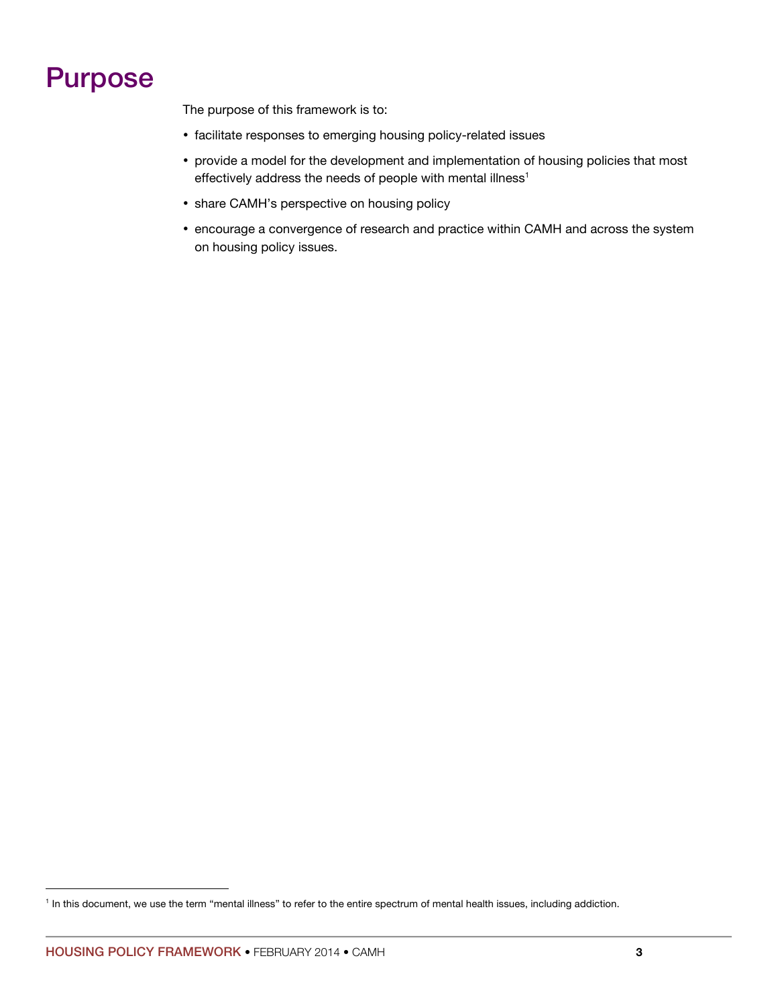# Purpose

The purpose of this framework is to:

- facilitate responses to emerging housing policy-related issues
- provide a model for the development and implementation of housing policies that most effectively address the needs of people with mental illness<sup>1</sup>
- share CAMH's perspective on housing policy
- encourage a convergence of research and practice within CAMH and across the system on housing policy issues.

<sup>&</sup>lt;sup>1</sup> In this document, we use the term "mental illness" to refer to the entire spectrum of mental health issues, including addiction.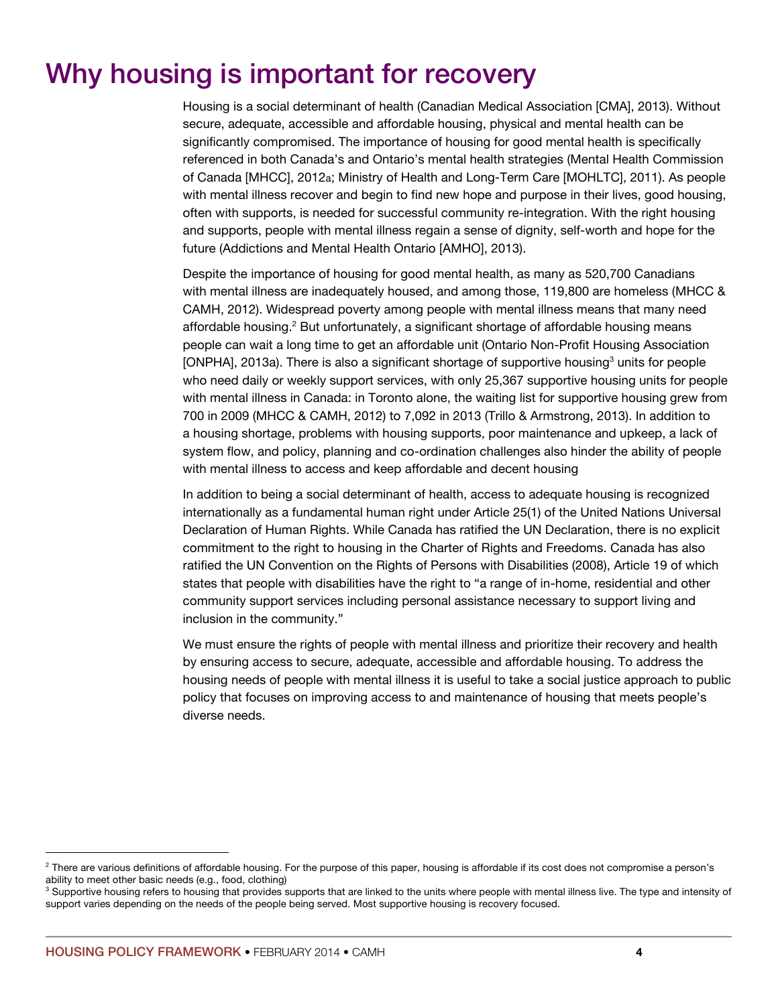# Why housing is important for recovery

Housing is a social determinant of health (Canadian Medical Association [CMA], 2013). Without secure, adequate, accessible and affordable housing, physical and mental health can be significantly compromised. The importance of housing for good mental health is specifically referenced in both Canada's and Ontario's mental health strategies (Mental Health Commission of Canada [MHCC], 2012a; Ministry of Health and Long-Term Care [MOHLTC], 2011). As people with mental illness recover and begin to find new hope and purpose in their lives, good housing, often with supports, is needed for successful community re-integration. With the right housing and supports, people with mental illness regain a sense of dignity, self-worth and hope for the future (Addictions and Mental Health Ontario [AMHO], 2013).

Despite the importance of housing for good mental health, as many as 520,700 Canadians with mental illness are inadequately housed, and among those, 119,800 are homeless (MHCC & CAMH, 2012). Widespread poverty among people with mental illness means that many need affordable housing.<sup>2</sup> But unfortunately, a significant shortage of affordable housing means people can wait a long time to get an affordable unit (Ontario Non-Profit Housing Association [ONPHA], 2013a). There is also a significant shortage of supportive housing<sup>3</sup> units for people who need daily or weekly support services, with only 25,367 supportive housing units for people with mental illness in Canada: in Toronto alone, the waiting list for supportive housing grew from 700 in 2009 (MHCC & CAMH, 2012) to 7,092 in 2013 (Trillo & Armstrong, 2013). In addition to a housing shortage, problems with housing supports, poor maintenance and upkeep, a lack of system flow, and policy, planning and co-ordination challenges also hinder the ability of people with mental illness to access and keep affordable and decent housing

In addition to being a social determinant of health, access to adequate housing is recognized internationally as a fundamental human right under Article 25(1) of the United Nations Universal Declaration of Human Rights. While Canada has ratified the UN Declaration, there is no explicit commitment to the right to housing in the Charter of Rights and Freedoms. Canada has also ratified the UN Convention on the Rights of Persons with Disabilities (2008), Article 19 of which states that people with disabilities have the right to "a range of in-home, residential and other community support services including personal assistance necessary to support living and inclusion in the community."

We must ensure the rights of people with mental illness and prioritize their recovery and health by ensuring access to secure, adequate, accessible and affordable housing. To address the housing needs of people with mental illness it is useful to take a social justice approach to public policy that focuses on improving access to and maintenance of housing that meets people's diverse needs.

 $^2$  There are various definitions of affordable housing. For the purpose of this paper, housing is affordable if its cost does not compromise a person's ability to meet other basic needs (e.g., food, clothing)

<sup>&</sup>lt;sup>3</sup> Supportive housing refers to housing that provides supports that are linked to the units where people with mental illness live. The type and intensity of support varies depending on the needs of the people being served. Most supportive housing is recovery focused.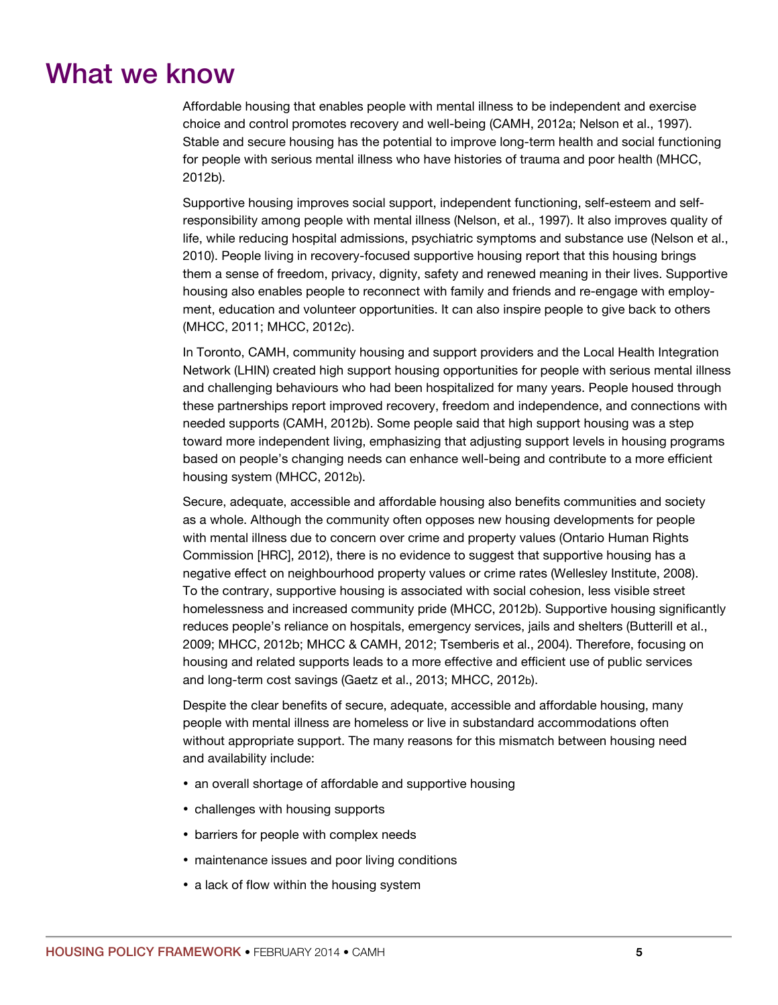# What we know

Affordable housing that enables people with mental illness to be independent and exercise choice and control promotes recovery and well-being (CAMH, 2012a; Nelson et al., 1997). Stable and secure housing has the potential to improve long-term health and social functioning for people with serious mental illness who have histories of trauma and poor health (MHCC, 2012b).

Supportive housing improves social support, independent functioning, self-esteem and selfresponsibility among people with mental illness (Nelson, et al., 1997). It also improves quality of life, while reducing hospital admissions, psychiatric symptoms and substance use (Nelson et al., 2010). People living in recovery-focused supportive housing report that this housing brings them a sense of freedom, privacy, dignity, safety and renewed meaning in their lives. Supportive housing also enables people to reconnect with family and friends and re-engage with employment, education and volunteer opportunities. It can also inspire people to give back to others (MHCC, 2011; MHCC, 2012c).

In Toronto, CAMH, community housing and support providers and the Local Health Integration Network (LHIN) created high support housing opportunities for people with serious mental illness and challenging behaviours who had been hospitalized for many years. People housed through these partnerships report improved recovery, freedom and independence, and connections with needed supports (CAMH, 2012b). Some people said that high support housing was a step toward more independent living, emphasizing that adjusting support levels in housing programs based on people's changing needs can enhance well-being and contribute to a more efficient housing system (MHCC, 2012b).

Secure, adequate, accessible and affordable housing also benefits communities and society as a whole. Although the community often opposes new housing developments for people with mental illness due to concern over crime and property values (Ontario Human Rights Commission [HRC], 2012), there is no evidence to suggest that supportive housing has a negative effect on neighbourhood property values or crime rates (Wellesley Institute, 2008). To the contrary, supportive housing is associated with social cohesion, less visible street homelessness and increased community pride (MHCC, 2012b). Supportive housing significantly reduces people's reliance on hospitals, emergency services, jails and shelters (Butterill et al., 2009; MHCC, 2012b; MHCC & CAMH, 2012; Tsemberis et al., 2004). Therefore, focusing on housing and related supports leads to a more effective and efficient use of public services and long-term cost savings (Gaetz et al., 2013; MHCC, 2012b).

Despite the clear benefits of secure, adequate, accessible and affordable housing, many people with mental illness are homeless or live in substandard accommodations often without appropriate support. The many reasons for this mismatch between housing need and availability include:

- an overall shortage of affordable and supportive housing
- challenges with housing supports
- barriers for people with complex needs
- maintenance issues and poor living conditions
- a lack of flow within the housing system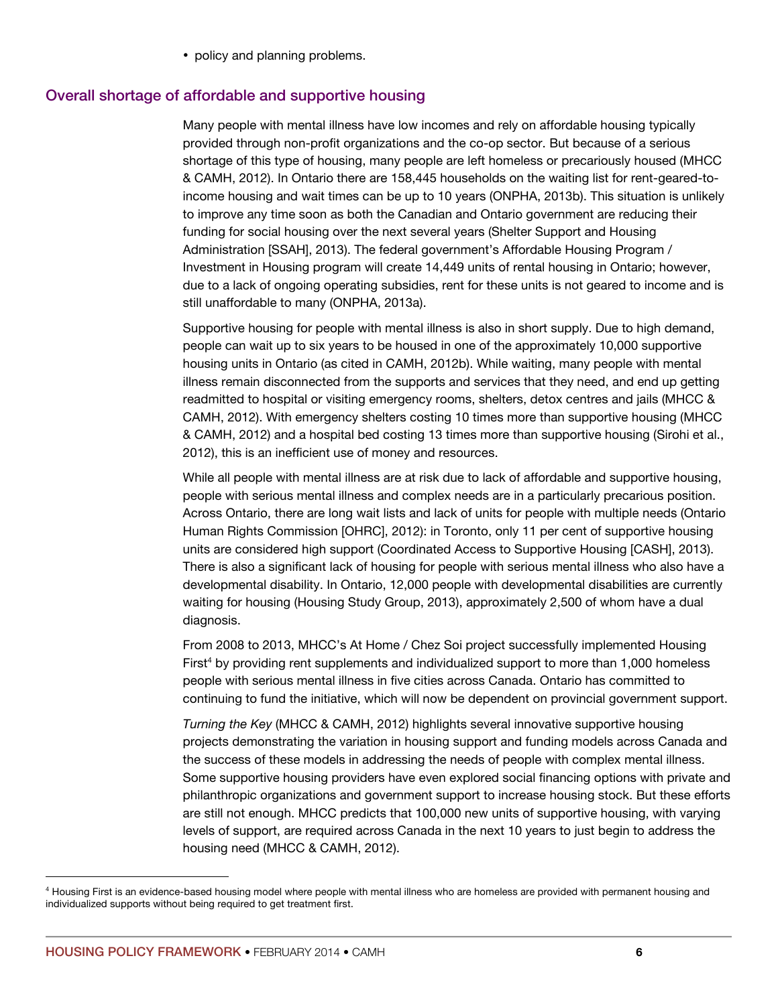• policy and planning problems.

#### Overall shortage of affordable and supportive housing

Many people with mental illness have low incomes and rely on affordable housing typically provided through non-profit organizations and the co-op sector. But because of a serious shortage of this type of housing, many people are left homeless or precariously housed (MHCC & CAMH, 2012). In Ontario there are 158,445 households on the waiting list for rent-geared-toincome housing and wait times can be up to 10 years (ONPHA, 2013b). This situation is unlikely to improve any time soon as both the Canadian and Ontario government are reducing their funding for social housing over the next several years (Shelter Support and Housing Administration [SSAH], 2013). The federal government's Affordable Housing Program / Investment in Housing program will create 14,449 units of rental housing in Ontario; however, due to a lack of ongoing operating subsidies, rent for these units is not geared to income and is still unaffordable to many (ONPHA, 2013a).

Supportive housing for people with mental illness is also in short supply. Due to high demand, people can wait up to six years to be housed in one of the approximately 10,000 supportive housing units in Ontario (as cited in CAMH, 2012b). While waiting, many people with mental illness remain disconnected from the supports and services that they need, and end up getting readmitted to hospital or visiting emergency rooms, shelters, detox centres and jails (MHCC & CAMH, 2012). With emergency shelters costing 10 times more than supportive housing (MHCC & CAMH, 2012) and a hospital bed costing 13 times more than supportive housing (Sirohi et al., 2012), this is an inefficient use of money and resources.

While all people with mental illness are at risk due to lack of affordable and supportive housing, people with serious mental illness and complex needs are in a particularly precarious position. Across Ontario, there are long wait lists and lack of units for people with multiple needs (Ontario Human Rights Commission [OHRC], 2012): in Toronto, only 11 per cent of supportive housing units are considered high support (Coordinated Access to Supportive Housing [CASH], 2013). There is also a significant lack of housing for people with serious mental illness who also have a developmental disability. In Ontario, 12,000 people with developmental disabilities are currently waiting for housing (Housing Study Group, 2013), approximately 2,500 of whom have a dual diagnosis.

From 2008 to 2013, MHCC's At Home / Chez Soi project successfully implemented Housing First<sup>4</sup> by providing rent supplements and individualized support to more than 1,000 homeless people with serious mental illness in five cities across Canada. Ontario has committed to continuing to fund the initiative, which will now be dependent on provincial government support.

*Turning the Key* (MHCC & CAMH, 2012) highlights several innovative supportive housing projects demonstrating the variation in housing support and funding models across Canada and the success of these models in addressing the needs of people with complex mental illness. Some supportive housing providers have even explored social financing options with private and philanthropic organizations and government support to increase housing stock. But these efforts are still not enough. MHCC predicts that 100,000 new units of supportive housing, with varying levels of support, are required across Canada in the next 10 years to just begin to address the housing need (MHCC & CAMH, 2012).

<sup>4</sup> Housing First is an evidence-based housing model where people with mental illness who are homeless are provided with permanent housing and individualized supports without being required to get treatment first.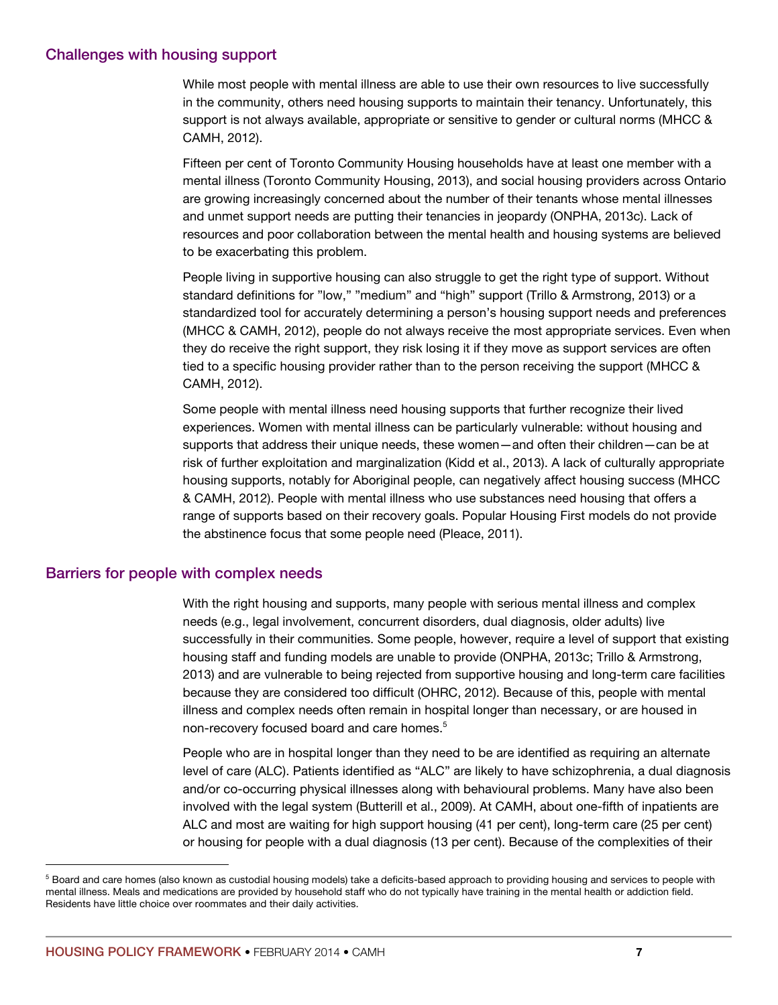#### Challenges with housing support

While most people with mental illness are able to use their own resources to live successfully in the community, others need housing supports to maintain their tenancy. Unfortunately, this support is not always available, appropriate or sensitive to gender or cultural norms (MHCC & CAMH, 2012).

Fifteen per cent of Toronto Community Housing households have at least one member with a mental illness (Toronto Community Housing, 2013), and social housing providers across Ontario are growing increasingly concerned about the number of their tenants whose mental illnesses and unmet support needs are putting their tenancies in jeopardy (ONPHA, 2013c). Lack of resources and poor collaboration between the mental health and housing systems are believed to be exacerbating this problem.

People living in supportive housing can also struggle to get the right type of support. Without standard definitions for "low," "medium" and "high" support (Trillo & Armstrong, 2013) or a standardized tool for accurately determining a person's housing support needs and preferences (MHCC & CAMH, 2012), people do not always receive the most appropriate services. Even when they do receive the right support, they risk losing it if they move as support services are often tied to a specific housing provider rather than to the person receiving the support (MHCC & CAMH, 2012).

Some people with mental illness need housing supports that further recognize their lived experiences. Women with mental illness can be particularly vulnerable: without housing and supports that address their unique needs, these women—and often their children—can be at risk of further exploitation and marginalization (Kidd et al., 2013). A lack of culturally appropriate housing supports, notably for Aboriginal people, can negatively affect housing success (MHCC & CAMH, 2012). People with mental illness who use substances need housing that offers a range of supports based on their recovery goals. Popular Housing First models do not provide the abstinence focus that some people need (Pleace, 2011).

#### Barriers for people with complex needs

With the right housing and supports, many people with serious mental illness and complex needs (e.g., legal involvement, concurrent disorders, dual diagnosis, older adults) live successfully in their communities. Some people, however, require a level of support that existing housing staff and funding models are unable to provide (ONPHA, 2013c; Trillo & Armstrong, 2013) and are vulnerable to being rejected from supportive housing and long-term care facilities because they are considered too difficult (OHRC, 2012). Because of this, people with mental illness and complex needs often remain in hospital longer than necessary, or are housed in non-recovery focused board and care homes. 5

People who are in hospital longer than they need to be are identified as requiring an alternate level of care (ALC). Patients identified as "ALC" are likely to have schizophrenia, a dual diagnosis and/or co-occurring physical illnesses along with behavioural problems. Many have also been involved with the legal system (Butterill et al., 2009). At CAMH, about one-fifth of inpatients are ALC and most are waiting for high support housing (41 per cent), long-term care (25 per cent) or housing for people with a dual diagnosis (13 per cent). Because of the complexities of their

<sup>&</sup>lt;sup>5</sup> Board and care homes (also known as custodial housing models) take a deficits-based approach to providing housing and services to people with mental illness. Meals and medications are provided by household staff who do not typically have training in the mental health or addiction field. Residents have little choice over roommates and their daily activities.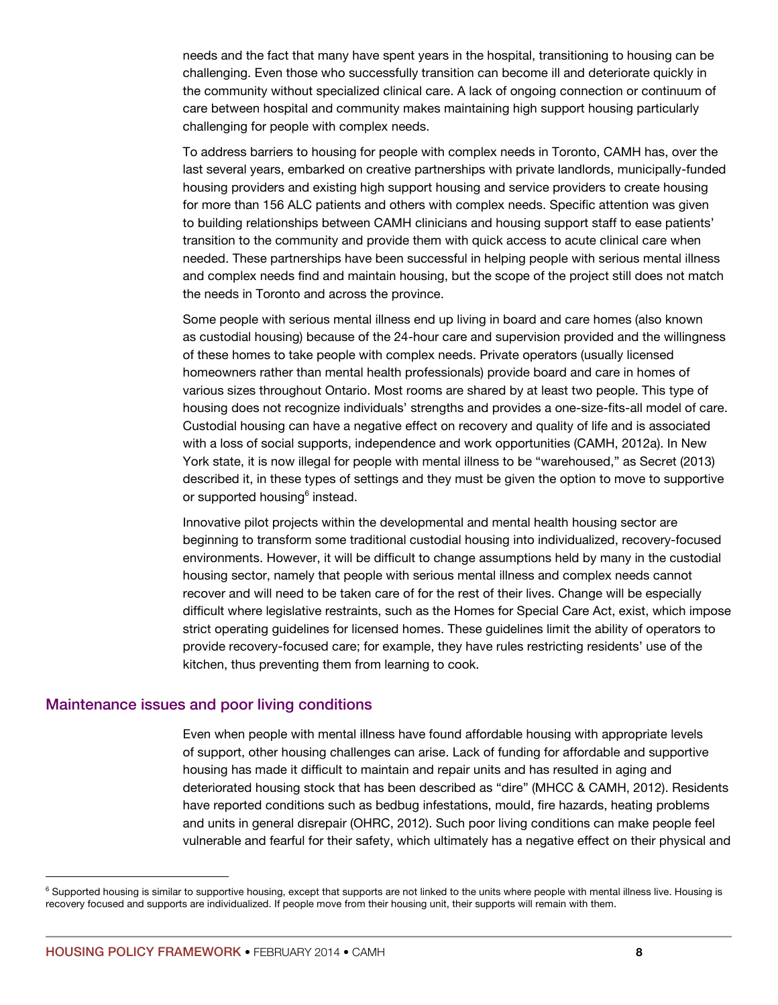needs and the fact that many have spent years in the hospital, transitioning to housing can be challenging. Even those who successfully transition can become ill and deteriorate quickly in the community without specialized clinical care. A lack of ongoing connection or continuum of care between hospital and community makes maintaining high support housing particularly challenging for people with complex needs.

To address barriers to housing for people with complex needs in Toronto, CAMH has, over the last several years, embarked on creative partnerships with private landlords, municipally-funded housing providers and existing high support housing and service providers to create housing for more than 156 ALC patients and others with complex needs. Specific attention was given to building relationships between CAMH clinicians and housing support staff to ease patients' transition to the community and provide them with quick access to acute clinical care when needed. These partnerships have been successful in helping people with serious mental illness and complex needs find and maintain housing, but the scope of the project still does not match the needs in Toronto and across the province.

Some people with serious mental illness end up living in board and care homes (also known as custodial housing) because of the 24-hour care and supervision provided and the willingness of these homes to take people with complex needs. Private operators (usually licensed homeowners rather than mental health professionals) provide board and care in homes of various sizes throughout Ontario. Most rooms are shared by at least two people. This type of housing does not recognize individuals' strengths and provides a one-size-fits-all model of care. Custodial housing can have a negative effect on recovery and quality of life and is associated with a loss of social supports, independence and work opportunities (CAMH, 2012a). In New York state, it is now illegal for people with mental illness to be "warehoused," as Secret (2013) described it, in these types of settings and they must be given the option to move to supportive or supported housing<sup>6</sup> instead.

Innovative pilot projects within the developmental and mental health housing sector are beginning to transform some traditional custodial housing into individualized, recovery-focused environments. However, it will be difficult to change assumptions held by many in the custodial housing sector, namely that people with serious mental illness and complex needs cannot recover and will need to be taken care of for the rest of their lives. Change will be especially difficult where legislative restraints, such as the Homes for Special Care Act, exist, which impose strict operating guidelines for licensed homes. These guidelines limit the ability of operators to provide recovery-focused care; for example, they have rules restricting residents' use of the kitchen, thus preventing them from learning to cook.

#### Maintenance issues and poor living conditions

Even when people with mental illness have found affordable housing with appropriate levels of support, other housing challenges can arise. Lack of funding for affordable and supportive housing has made it difficult to maintain and repair units and has resulted in aging and deteriorated housing stock that has been described as "dire" (MHCC & CAMH, 2012). Residents have reported conditions such as bedbug infestations, mould, fire hazards, heating problems and units in general disrepair (OHRC, 2012). Such poor living conditions can make people feel vulnerable and fearful for their safety, which ultimately has a negative effect on their physical and

<sup>&</sup>lt;sup>6</sup> Supported housing is similar to supportive housing, except that supports are not linked to the units where people with mental illness live. Housing is recovery focused and supports are individualized. If people move from their housing unit, their supports will remain with them.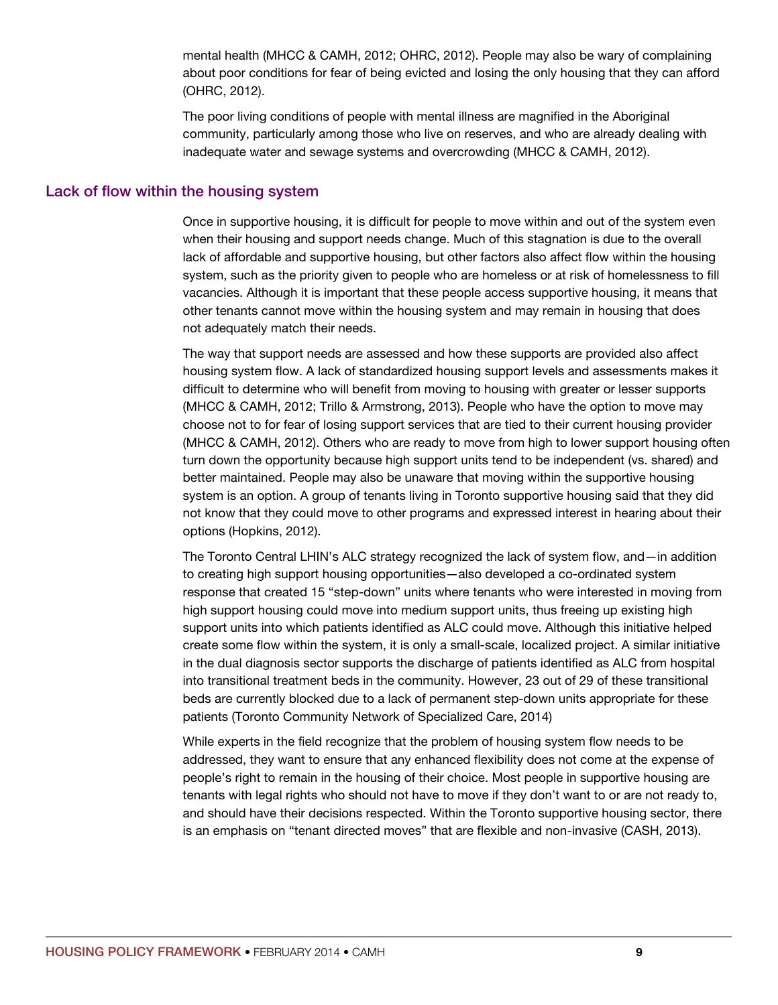mental health (MHCC & CAMH, 2012; OHRC, 2012). People may also be wary of complaining about poor conditions for fear of being evicted and losing the only housing that they can afford (OHRC, 2012).

The poor living conditions of people with mental illness are magnified in the Aboriginal community, particularly among those who live on reserves, and who are already dealing with inadequate water and sewage systems and overcrowding (MHCC & CAMH, 2012).

#### Lack of flow within the housing system

Once in supportive housing, it is difficult for people to move within and out of the system even when their housing and support needs change. Much of this stagnation is due to the overall lack of affordable and supportive housing, but other factors also affect flow within the housing system, such as the priority given to people who are homeless or at risk of homelessness to fill vacancies. Although it is important that these people access supportive housing, it means that other tenants cannot move within the housing system and may remain in housing that does not adequately match their needs.

The way that support needs are assessed and how these supports are provided also affect housing system flow. A lack of standardized housing support levels and assessments makes it difficult to determine who will benefit from moving to housing with greater or lesser supports (MHCC & CAMH, 2012; Trillo & Armstrong, 2013). People who have the option to move may choose not to for fear of losing support services that are tied to their current housing provider (MHCC & CAMH, 2012). Others who are ready to move from high to lower support housing often turn down the opportunity because high support units tend to be independent (vs. shared) and better maintained. People may also be unaware that moving within the supportive housing system is an option. A group of tenants living in Toronto supportive housing said that they did not know that they could move to other programs and expressed interest in hearing about their options (Hopkins, 2012).

The Toronto Central LHIN's ALC strategy recognized the lack of system flow, and—in addition to creating high support housing opportunities—also developed a co-ordinated system response that created 15 "step-down" units where tenants who were interested in moving from high support housing could move into medium support units, thus freeing up existing high support units into which patients identified as ALC could move. Although this initiative helped create some flow within the system, it is only a small-scale, localized project. A similar initiative in the dual diagnosis sector supports the discharge of patients identified as ALC from hospital into transitional treatment beds in the community. However, 23 out of 29 of these transitional beds are currently blocked due to a lack of permanent step-down units appropriate for these patients (Toronto Community Network of Specialized Care, 2014)

While experts in the field recognize that the problem of housing system flow needs to be addressed, they want to ensure that any enhanced flexibility does not come at the expense of people's right to remain in the housing of their choice. Most people in supportive housing are tenants with legal rights who should not have to move if they don't want to or are not ready to, and should have their decisions respected. Within the Toronto supportive housing sector, there is an emphasis on "tenant directed moves" that are flexible and non-invasive (CASH, 2013).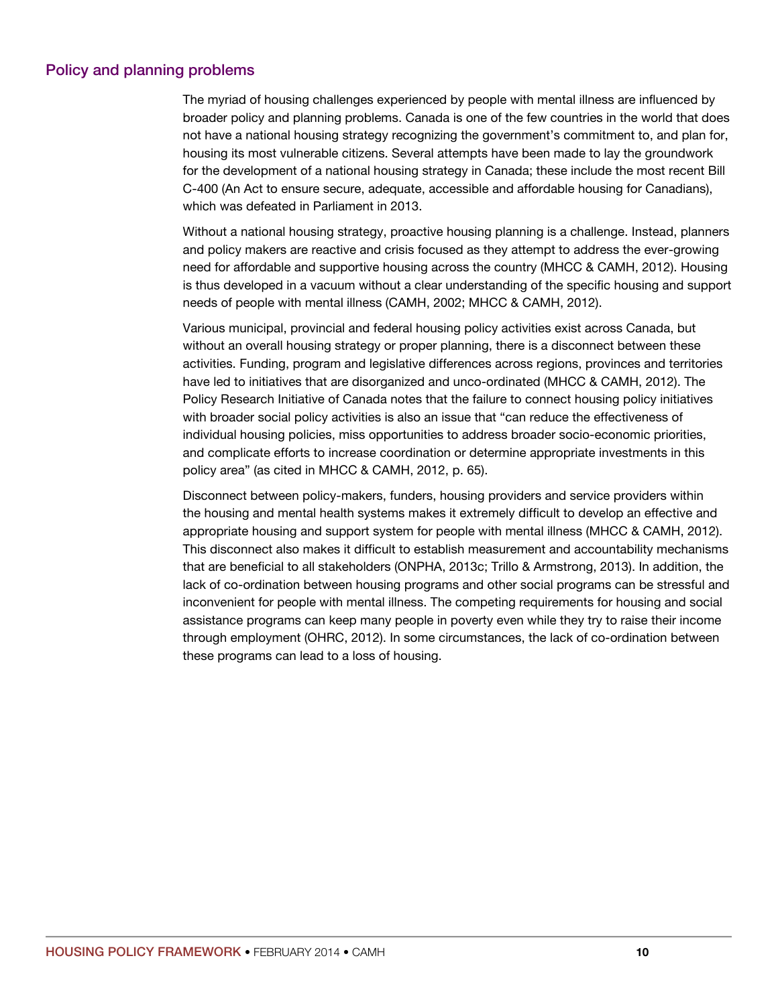## Policy and planning problems

The myriad of housing challenges experienced by people with mental illness are influenced by broader policy and planning problems. Canada is one of the few countries in the world that does not have a national housing strategy recognizing the government's commitment to, and plan for, housing its most vulnerable citizens. Several attempts have been made to lay the groundwork for the development of a national housing strategy in Canada; these include the most recent Bill C-400 (An Act to ensure secure, adequate, accessible and affordable housing for Canadians), which was defeated in Parliament in 2013.

Without a national housing strategy, proactive housing planning is a challenge. Instead, planners and policy makers are reactive and crisis focused as they attempt to address the ever-growing need for affordable and supportive housing across the country (MHCC & CAMH, 2012). Housing is thus developed in a vacuum without a clear understanding of the specific housing and support needs of people with mental illness (CAMH, 2002; MHCC & CAMH, 2012).

Various municipal, provincial and federal housing policy activities exist across Canada, but without an overall housing strategy or proper planning, there is a disconnect between these activities. Funding, program and legislative differences across regions, provinces and territories have led to initiatives that are disorganized and unco-ordinated (MHCC & CAMH, 2012). The Policy Research Initiative of Canada notes that the failure to connect housing policy initiatives with broader social policy activities is also an issue that "can reduce the effectiveness of individual housing policies, miss opportunities to address broader socio-economic priorities, and complicate efforts to increase coordination or determine appropriate investments in this policy area" (as cited in MHCC & CAMH, 2012, p. 65).

Disconnect between policy-makers, funders, housing providers and service providers within the housing and mental health systems makes it extremely difficult to develop an effective and appropriate housing and support system for people with mental illness (MHCC & CAMH, 2012). This disconnect also makes it difficult to establish measurement and accountability mechanisms that are beneficial to all stakeholders (ONPHA, 2013c; Trillo & Armstrong, 2013). In addition, the lack of co-ordination between housing programs and other social programs can be stressful and inconvenient for people with mental illness. The competing requirements for housing and social assistance programs can keep many people in poverty even while they try to raise their income through employment (OHRC, 2012). In some circumstances, the lack of co-ordination between these programs can lead to a loss of housing.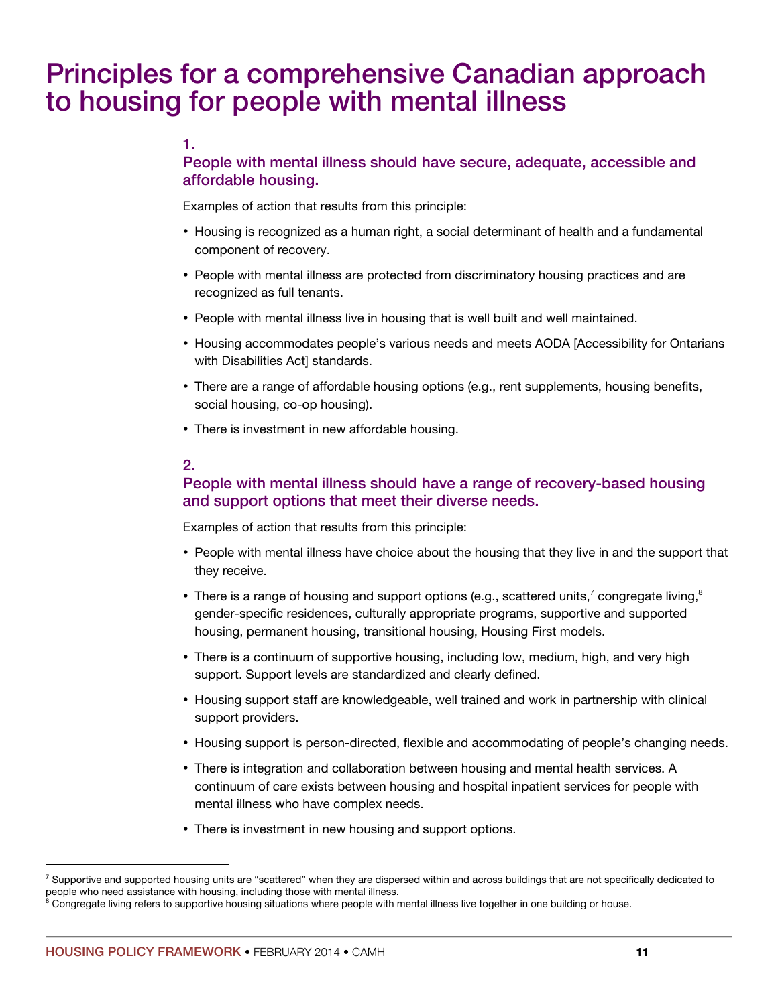# Principles for a comprehensive Canadian approach to housing for people with mental illness

## 1.

# People with mental illness should have secure, adequate, accessible and affordable housing.

Examples of action that results from this principle:

- Housing is recognized as a human right, a social determinant of health and a fundamental component of recovery.
- People with mental illness are protected from discriminatory housing practices and are recognized as full tenants.
- People with mental illness live in housing that is well built and well maintained.
- Housing accommodates people's various needs and meets AODA [Accessibility for Ontarians with Disabilities Act] standards.
- There are a range of affordable housing options (e.g., rent supplements, housing benefits, social housing, co-op housing).
- There is investment in new affordable housing.

## 2.

## People with mental illness should have a range of recovery-based housing and support options that meet their diverse needs.

Examples of action that results from this principle:

- People with mental illness have choice about the housing that they live in and the support that they receive.
- There is a range of housing and support options (e.g., scattered units,<sup>7</sup> congregate living,<sup>8</sup> gender-specific residences, culturally appropriate programs, supportive and supported housing, permanent housing, transitional housing, Housing First models.
- There is a continuum of supportive housing, including low, medium, high, and very high support. Support levels are standardized and clearly defined.
- Housing support staff are knowledgeable, well trained and work in partnership with clinical support providers.
- Housing support is person-directed, flexible and accommodating of people's changing needs.
- There is integration and collaboration between housing and mental health services. A continuum of care exists between housing and hospital inpatient services for people with mental illness who have complex needs.
- There is investment in new housing and support options.

<sup>&</sup>lt;sup>7</sup> Supportive and supported housing units are "scattered" when they are dispersed within and across buildings that are not specifically dedicated to people who need assistance with housing, including those with mental illness.<br><sup>8</sup> Congregate living refers to supportive housing situations where people with mental illness live together in one building or house.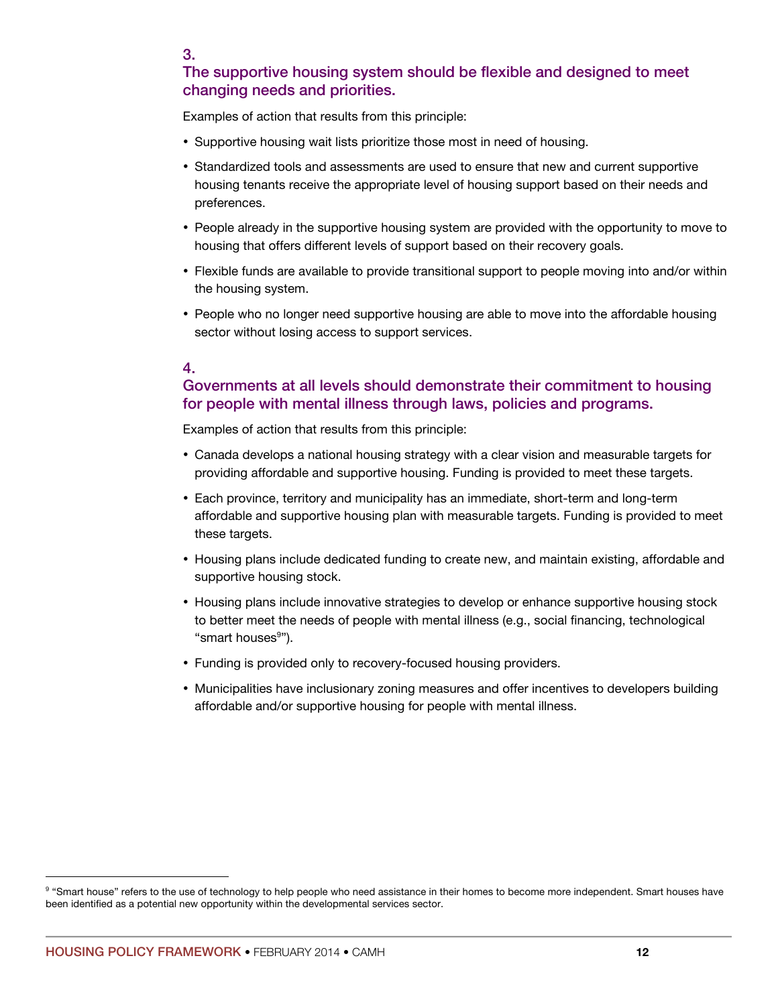## The supportive housing system should be flexible and designed to meet changing needs and priorities.

Examples of action that results from this principle:

- Supportive housing wait lists prioritize those most in need of housing.
- Standardized tools and assessments are used to ensure that new and current supportive housing tenants receive the appropriate level of housing support based on their needs and preferences.
- People already in the supportive housing system are provided with the opportunity to move to housing that offers different levels of support based on their recovery goals.
- Flexible funds are available to provide transitional support to people moving into and/or within the housing system.
- People who no longer need supportive housing are able to move into the affordable housing sector without losing access to support services.

#### 4.

# Governments at all levels should demonstrate their commitment to housing for people with mental illness through laws, policies and programs.

Examples of action that results from this principle:

- Canada develops a national housing strategy with a clear vision and measurable targets for providing affordable and supportive housing. Funding is provided to meet these targets.
- Each province, territory and municipality has an immediate, short-term and long-term affordable and supportive housing plan with measurable targets. Funding is provided to meet these targets.
- Housing plans include dedicated funding to create new, and maintain existing, affordable and supportive housing stock.
- Housing plans include innovative strategies to develop or enhance supportive housing stock to better meet the needs of people with mental illness (e.g., social financing, technological "smart houses<sup>9</sup>").
- Funding is provided only to recovery-focused housing providers.
- Municipalities have inclusionary zoning measures and offer incentives to developers building affordable and/or supportive housing for people with mental illness.

<sup>&</sup>lt;sup>9</sup> "Smart house" refers to the use of technology to help people who need assistance in their homes to become more independent. Smart houses have been identified as a potential new opportunity within the developmental services sector.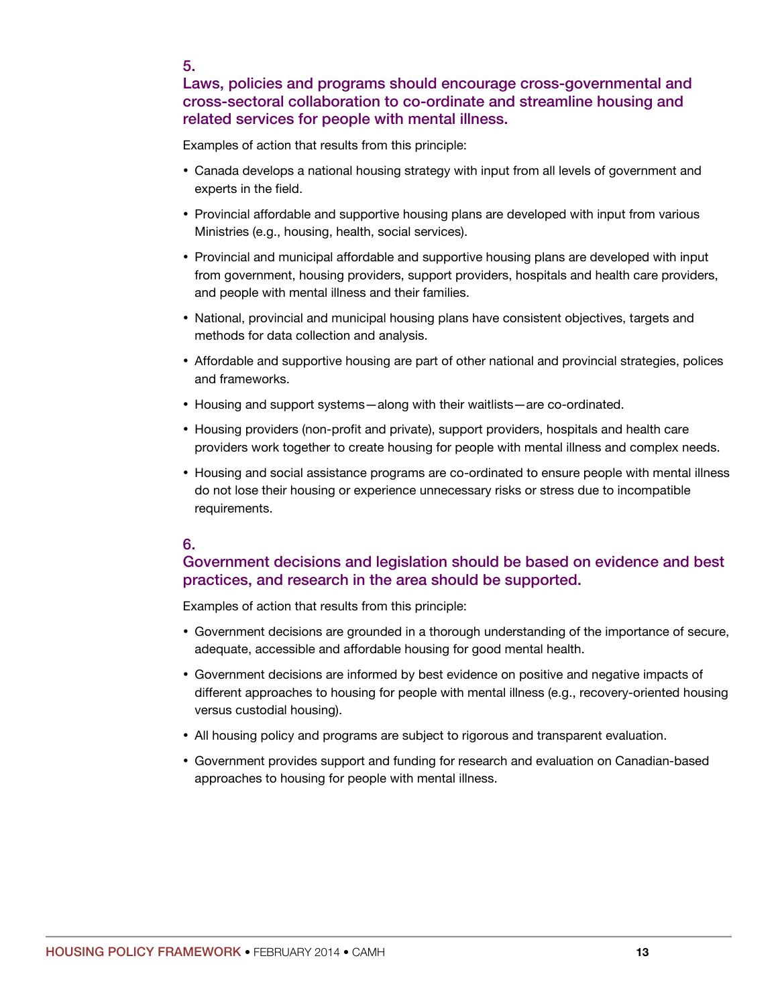5.

## Laws, policies and programs should encourage cross-governmental and cross-sectoral collaboration to co-ordinate and streamline housing and related services for people with mental illness.

Examples of action that results from this principle:

- Canada develops a national housing strategy with input from all levels of government and experts in the field.
- Provincial affordable and supportive housing plans are developed with input from various Ministries (e.g., housing, health, social services).
- Provincial and municipal affordable and supportive housing plans are developed with input from government, housing providers, support providers, hospitals and health care providers, and people with mental illness and their families.
- National, provincial and municipal housing plans have consistent objectives, targets and methods for data collection and analysis.
- Affordable and supportive housing are part of other national and provincial strategies, polices and frameworks.
- Housing and support systems—along with their waitlists—are co-ordinated.
- Housing providers (non-profit and private), support providers, hospitals and health care providers work together to create housing for people with mental illness and complex needs.
- Housing and social assistance programs are co-ordinated to ensure people with mental illness do not lose their housing or experience unnecessary risks or stress due to incompatible requirements.

## 6.

## Government decisions and legislation should be based on evidence and best practices, and research in the area should be supported.

Examples of action that results from this principle:

- Government decisions are grounded in a thorough understanding of the importance of secure, adequate, accessible and affordable housing for good mental health.
- Government decisions are informed by best evidence on positive and negative impacts of different approaches to housing for people with mental illness (e.g., recovery-oriented housing versus custodial housing).
- All housing policy and programs are subject to rigorous and transparent evaluation.
- Government provides support and funding for research and evaluation on Canadian-based approaches to housing for people with mental illness.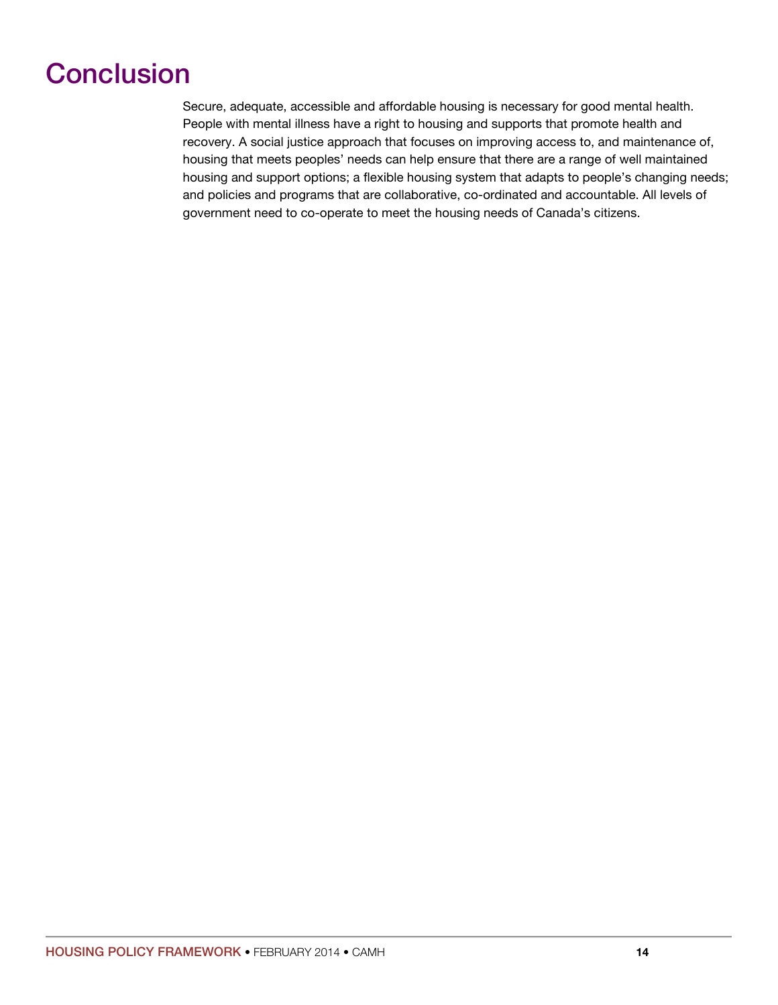# **Conclusion**

Secure, adequate, accessible and affordable housing is necessary for good mental health. People with mental illness have a right to housing and supports that promote health and recovery. A social justice approach that focuses on improving access to, and maintenance of, housing that meets peoples' needs can help ensure that there are a range of well maintained housing and support options; a flexible housing system that adapts to people's changing needs; and policies and programs that are collaborative, co-ordinated and accountable. All levels of government need to co-operate to meet the housing needs of Canada's citizens.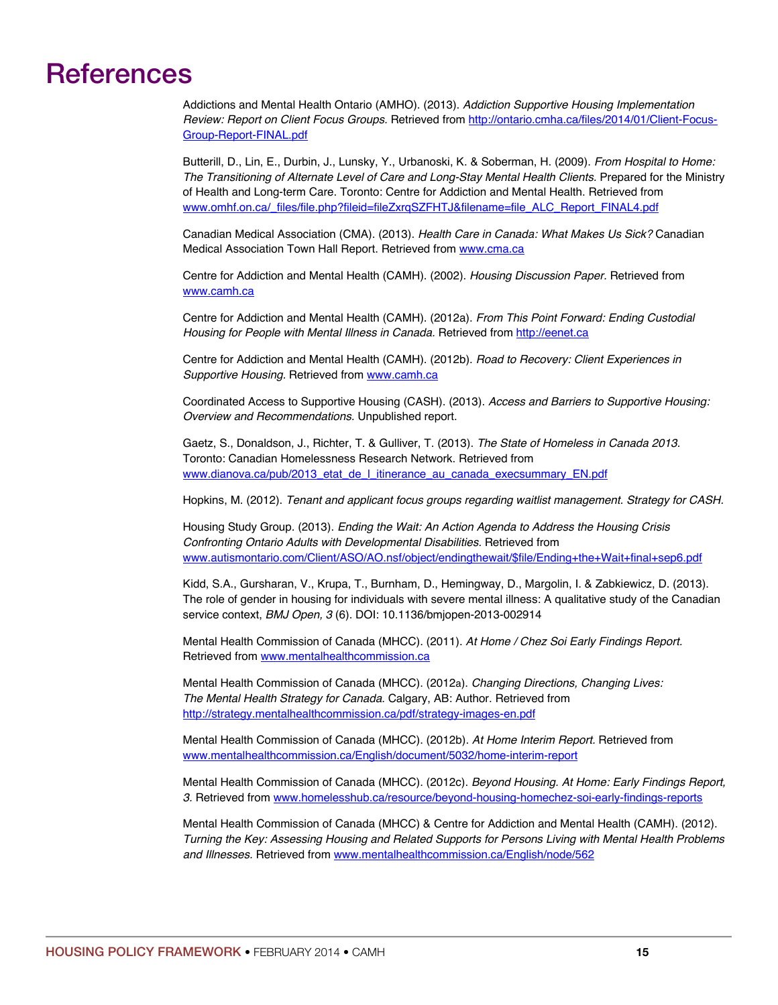# References

Addictions and Mental Health Ontario (AMHO). (2013). *Addiction Supportive Housing Implementation Review: Report on Client Focus Groups.* Retrieved from http://ontario.cmha.ca/files/2014/01/Client-Focus-Group-Report-FINAL.pdf

Butterill, D., Lin, E., Durbin, J., Lunsky, Y., Urbanoski, K. & Soberman, H. (2009). *From Hospital to Home: The Transitioning of Alternate Level of Care and Long-Stay Mental Health Clients.* Prepared for the Ministry of Health and Long-term Care. Toronto: Centre for Addiction and Mental Health. Retrieved from www.omhf.on.ca/\_files/file.php?fileid=fileZxrqSZFHTJ&filename=file\_ALC\_Report\_FINAL4.pdf

Canadian Medical Association (CMA). (2013). *Health Care in Canada: What Makes Us Sick?* Canadian Medical Association Town Hall Report. Retrieved from www.cma.ca

Centre for Addiction and Mental Health (CAMH). (2002). *Housing Discussion Paper.* Retrieved from www.camh.ca

Centre for Addiction and Mental Health (CAMH). (2012a). *From This Point Forward: Ending Custodial*  Housing for People with Mental Illness in Canada. Retrieved from http://eenet.ca

Centre for Addiction and Mental Health (CAMH). (2012b). *Road to Recovery: Client Experiences in Supportive Housing.* Retrieved from www.camh.ca

Coordinated Access to Supportive Housing (CASH). (2013). *Access and Barriers to Supportive Housing: Overview and Recommendations.* Unpublished report.

Gaetz, S., Donaldson, J., Richter, T. & Gulliver, T. (2013). *The State of Homeless in Canada 2013.*  Toronto: Canadian Homelessness Research Network. Retrieved from www.dianova.ca/pub/2013\_etat\_de\_l\_itinerance\_au\_canada\_execsummary\_EN.pdf

Hopkins, M. (2012). *Tenant and applicant focus groups regarding waitlist management. Strategy for CASH.*

Housing Study Group. (2013). *Ending the Wait: An Action Agenda to Address the Housing Crisis Confronting Ontario Adults with Developmental Disabilities.* Retrieved from www.autismontario.com/Client/ASO/AO.nsf/object/endingthewait/\$file/Ending+the+Wait+final+sep6.pdf

Kidd, S.A., Gursharan, V., Krupa, T., Burnham, D., Hemingway, D., Margolin, I. & Zabkiewicz, D. (2013). The role of gender in housing for individuals with severe mental illness: A qualitative study of the Canadian service context, *BMJ Open, 3* (6). DOI: 10.1136/bmjopen-2013-002914

Mental Health Commission of Canada (MHCC). (2011). *At Home / Chez Soi Early Findings Report.*  Retrieved from www.mentalhealthcommission.ca

Mental Health Commission of Canada (MHCC). (2012a). *Changing Directions, Changing Lives: The Mental Health Strategy for Canada*. Calgary, AB: Author. Retrieved from http://strategy.mentalhealthcommission.ca/pdf/strategy-images-en.pdf

Mental Health Commission of Canada (MHCC). (2012b). *At Home Interim Report.* Retrieved from www.mentalhealthcommission.ca/English/document/5032/home-interim-report

Mental Health Commission of Canada (MHCC). (2012c). *Beyond Housing. At Home: Early Findings Report, 3.* Retrieved from www.homelesshub.ca/resource/beyond-housing-homechez-soi-early-findings-reports

Mental Health Commission of Canada (MHCC) & Centre for Addiction and Mental Health (CAMH). (2012). *Turning the Key: Assessing Housing and Related Supports for Persons Living with Mental Health Problems and Illnesses.* Retrieved from www.mentalhealthcommission.ca/English/node/562